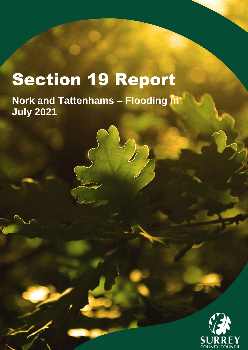# Section 19 Report

**Nork and Tattenhams – Flooding in July 2021**

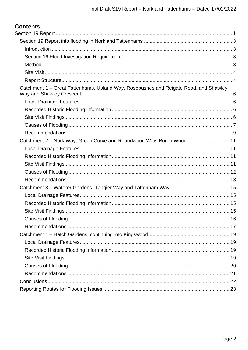| Catchment 1 – Great Tattenhams, Upland Way, Rosebushes and Reigate Road, and Shawley |  |
|--------------------------------------------------------------------------------------|--|
|                                                                                      |  |
|                                                                                      |  |
|                                                                                      |  |
|                                                                                      |  |
|                                                                                      |  |
| Catchment 2 - Nork Way, Green Curve and Roundwood Way, Burgh Wood  11                |  |
|                                                                                      |  |
|                                                                                      |  |
|                                                                                      |  |
|                                                                                      |  |
|                                                                                      |  |
|                                                                                      |  |
|                                                                                      |  |
|                                                                                      |  |
|                                                                                      |  |
|                                                                                      |  |
|                                                                                      |  |
|                                                                                      |  |
|                                                                                      |  |
|                                                                                      |  |
|                                                                                      |  |
|                                                                                      |  |
|                                                                                      |  |
|                                                                                      |  |
|                                                                                      |  |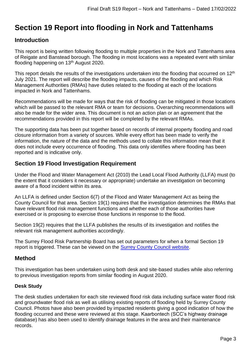# <span id="page-2-0"></span>**Section 19 Report into flooding in Nork and Tattenhams**

## <span id="page-2-1"></span>**Introduction**

This report is being written following flooding to multiple properties in the Nork and Tattenhams area of Reigate and Banstead borough. The flooding in most locations was a repeated event with similar flooding happening on 13<sup>th</sup> August 2020.

This report details the results of the investigations undertaken into the flooding that occurred on 12<sup>th</sup> July 2021. The report will describe the flooding impacts, causes of the flooding and which Risk Management Authorities (RMAs) have duties related to the flooding at each of the locations impacted in Nork and Tattenhams.

Recommendations will be made for ways that the risk of flooding can be mitigated in those locations which will be passed to the relevant RMA or team for decisions. Overarching recommendations will also be made for the wider area. This document is not an action plan or an agreement that the recommendations provided in this report will be completed by the relevant RMAs.

The supporting data has been put together based on records of internal property flooding and road closure information from a variety of sources. While every effort has been made to verify the information, the nature of the data and the methods used to collate this information mean that it does not include every occurrence of flooding. This data only identifies where flooding has been reported and is indicative only.

# <span id="page-2-2"></span>**Section 19 Flood Investigation Requirement**

Under the Flood and Water Management Act (2010) the Lead Local Flood Authority (LLFA) must (to the extent that it considers it necessary or appropriate) undertake an investigation on becoming aware of a flood incident within its area.

An LLFA is defined under Section 6(7) of the Flood and Water Management Act as being the County Council for that area. Section 19(1) requires that the investigation determines the RMAs that have relevant flood risk management functions and whether each of those authorities have exercised or is proposing to exercise those functions in response to the flood.

Section 19(2) requires that the LLFA publishes the results of its investigation and notifies the relevant risk management authorities accordingly.

The Surrey Flood Risk Partnership Board has set out parameters for when a formal Section 19 report is triggered. These can be viewed on the [Surrey County Council website.](https://www.surreycc.gov.uk/community/emergency-planning-and-community-safety/flooding-advice/more-about-flooding/surrey-s19-flood-investigations)

# <span id="page-2-3"></span>**Method**

This investigation has been undertaken using both desk and site-based studies while also referring to previous investigation reports from similar flooding in August 2020.

#### **Desk Study**

The desk studies undertaken for each site reviewed flood risk data including surface water flood risk and groundwater flood risk as well as utilising existing reports of flooding held by Surrey County Council. Photos have also been provided by impacted residents giving a good indication of how the flooding occurred and these were reviewed at this stage. Kaarbontech (SCC's highway drainage database) has also been used to identify drainage features in the area and their maintenance records.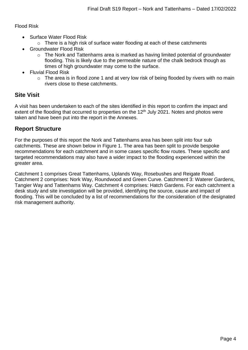Flood Risk

- Surface Water Flood Risk
	- o There is a high risk of surface water flooding at each of these catchments
- Groundwater Flood Risk
	- o The Nork and Tattenhams area is marked as having limited potential of groundwater flooding. This is likely due to the permeable nature of the chalk bedrock though as times of high groundwater may come to the surface.
- Fluvial Flood Risk
	- $\circ$  The area is in flood zone 1 and at very low risk of being flooded by rivers with no main rivers close to these catchments.

# <span id="page-3-0"></span>**Site Visit**

A visit has been undertaken to each of the sites identified in this report to confirm the impact and extent of the flooding that occurred to properties on the 12<sup>th</sup> July 2021. Notes and photos were taken and have been put into the report in the Annexes.

# <span id="page-3-1"></span>**Report Structure**

For the purposes of this report the Nork and Tattenhams area has been split into four sub catchments. These are shown below in Figure 1. The area has been split to provide bespoke recommendations for each catchment and in some cases specific flow routes. These specific and targeted recommendations may also have a wider impact to the flooding experienced within the greater area.

Catchment 1 comprises Great Tattenhams, Uplands Way, Rosebushes and Reigate Road. Catchment 2 comprises: Nork Way, Roundwood and Green Curve. Catchment 3: Waterer Gardens, Tangier Way and Tattenhams Way. Catchment 4 comprises: Hatch Gardens. For each catchment a desk study and site investigation will be provided, identifying the source, cause and impact of flooding. This will be concluded by a list of recommendations for the consideration of the designated risk management authority.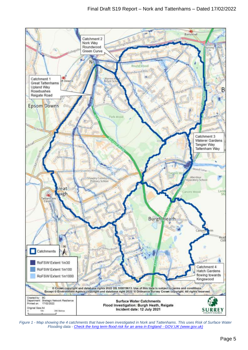

*Figure 1 - Map showing the 4 catchments that have been investigated in Nork and Tattenhams. This uses Risk of Surface Water Flooding data - [Check the long term flood risk for an area in England -](https://www.gov.uk/check-long-term-flood-risk) GOV.UK (www.gov.uk)*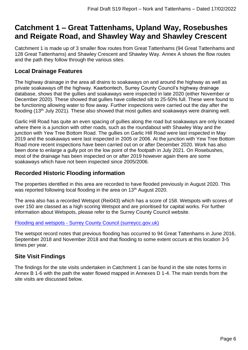# <span id="page-5-0"></span>**Catchment 1 – Great Tattenhams, Upland Way, Rosebushes and Reigate Road, and Shawley Way and Shawley Crescent**

Catchment 1 is made up of 3 smaller flow routes from Great Tattenhams (94 Great Tattenhams and 128 Great Tattenhams) and Shawley Crescent and Shawley Way. Annex A shows the flow routes and the path they follow through the various sites.

# <span id="page-5-1"></span>**Local Drainage Features**

The highway drainage in the area all drains to soakaways on and around the highway as well as private soakaways off the highway. Kaarbontech, Surrey County Council's highway drainage database, shows that the gullies and soakaways were inspected in late 2020 (either November or December 2020). These showed that gullies have collected silt to 25-50% full. These were found to be functioning allowing water to flow away. Further inspections were carried out the day after the flooding (13<sup>th</sup> July 2021). These also showed that most gullies and soakaways were draining well.

Garlic Hill Road has quite an even spacing of gullies along the road but soakaways are only located where there is a junction with other roads, such as the roundabout with Shawley Way and the junction with Yew Tree Bottom Road. The gullies on Garlic Hill Road were last inspected in May 2019 and the soakaways were last inspected in 2005 or 2006. At the junction with Yew Tree Bottom Road more recent inspections have been carried out on or after December 2020. Work has also been done to enlarge a gully pot on the low point of the footpath in July 2021. On Rosebushes, most of the drainage has been inspected on or after 2019 however again there are some soakaways which have not been inspected since 2005/2006.

# <span id="page-5-2"></span>**Recorded Historic Flooding information**

The properties identified in this area are recorded to have flooded previously in August 2020. This was reported following local flooding in the area on 13<sup>th</sup> August 2020.

The area also has a recorded Wetspot (Rei043) which has a score of 158. Wetspots with scores of over 150 are classed as a high scoring Wetspot and are prioritised for capital works. For further information about Wetspots, please refer to the Surrey County Council website.

#### Flooding and wetspots - [Surrey County Council \(surreycc.gov.uk\)](https://www.surreycc.gov.uk/roads-and-transport/roadworks-and-maintenance/report-a-highway-problem/drainage-and-flooding/flooding-and-wetspots)

The wetspot record notes that previous flooding has occurred to 94 Great Tattenhams in June 2016, September 2018 and November 2018 and that flooding to some extent occurs at this location 3-5 times per year.

# <span id="page-5-3"></span>**Site Visit Findings**

The findings for the site visits undertaken in Catchment 1 can be found in the site notes forms in Annex B 1-6 with the path the water flowed mapped in Annexes D 1-4. The main trends from the site visits are discussed below.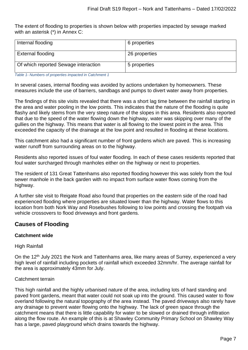The extent of flooding to properties is shown below with properties impacted by sewage marked with an asterisk (\*) in Annex C:

| Internal flooding                    | 6 properties  |
|--------------------------------------|---------------|
| <b>External flooding</b>             | 26 properties |
| Of which reported Sewage interaction | 5 properties  |

*Table 1- Numbers of properties impacted in Catchment 1*

In several cases, internal flooding was avoided by actions undertaken by homeowners. These measures include the use of barriers, sandbags and pumps to divert water away from properties.

The findings of this site visits revealed that there was a short lag time between the rainfall starting in the area and water pooling in the low points. This indicates that the nature of the flooding is quite flashy and likely stems from the very steep nature of the slopes in this area. Residents also reported that due to the speed of the water flowing down the highway, water was skipping over many of the gullies on the highway. This means that water is all flowing to the lowest point in the area. This exceeded the capacity of the drainage at the low point and resulted in flooding at these locations.

This catchment also had a significant number of front gardens which are paved. This is increasing water runoff from surrounding areas on to the highway.

Residents also reported issues of foul water flooding. In each of these cases residents reported that foul water surcharged through manholes either on the highway or next to properties.

The resident of 131 Great Tattenhams also reported flooding however this was solely from the foul sewer manhole in the back garden with no impact from surface water flows coming from the highway.

A further site visit to Reigate Road also found that properties on the eastern side of the road had experienced flooding where properties are situated lower than the highway. Water flows to this location from both Nork Way and Rosebushes following to low points and crossing the footpath via vehicle crossovers to flood driveways and front gardens.

# <span id="page-6-0"></span>**Causes of Flooding**

#### **Catchment wide**

High Rainfall

On the 12<sup>th</sup> July 2021 the Nork and Tattenhams area, like many areas of Surrey, experienced a very high level of rainfall including pockets of rainfall which exceeded 32mm/hr. The average rainfall for the area is approximately 43mm for July.

#### Catchment terrain

This high rainfall and the highly urbanised nature of the area, including lots of hard standing and paved front gardens, meant that water could not soak up into the ground. This caused water to flow overland following the natural topography of the area instead. The paved driveways also rarely have any drainage to prevent water flowing onto the highway. The lack of green space through the catchment means that there is little capability for water to be slowed or drained through infiltration along the flow route. An example of this is at Shawley Community Primary School on Shawley Way has a large, paved playground which drains towards the highway.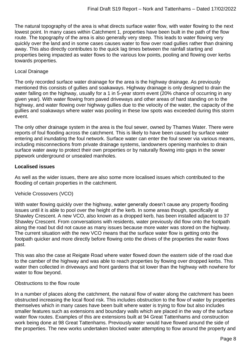The natural topography of the area is what directs surface water flow, with water flowing to the next lowest point. In many cases within Catchment 1, properties have been built in the path of the flow route. The topography of the area is also generally very steep. This leads to water flowing very quickly over the land and in some cases causes water to flow over road gullies rather than draining away. This also directly contributes to the quick lag times between the rainfall starting and properties being impacted as water flows to the various low points, pooling and flowing over kerbs towards properties.

#### Local Drainage

The only recorded surface water drainage for the area is the highway drainage. As previously mentioned this consists of gullies and soakaways. Highway drainage is only designed to drain the water falling on the highway, usually for a 1 in 5-year storm event (20% chance of occurring in any given year). With water flowing from paved driveways and other areas of hard standing on to the highway, and water flowing over highway gullies due to the velocity of the water, the capacity of the gullies and soakaways where water was pooling in these low spots was exceeded during this storm event.

The only other drainage system in the area is the foul sewer, owned by Thames Water. There were reports of foul flooding across the catchment. This is likely to have been caused by surface water entering and inundating the foul network. Surface water can enter the foul sewer via various means, including misconnections from private drainage systems, landowners opening manholes to drain surface water away to protect their own properties or by naturally flowing into gaps in the sewer pipework underground or unsealed manholes.

#### **Localised issues**

As well as the wider issues, there are also some more localised issues which contributed to the flooding of certain properties in the catchment.

#### Vehicle Crossovers (VCO)

With water flowing quickly over the highway, water generally doesn't cause any property flooding issues until it is able to pool over the height of the kerb. In some areas though, specifically at Shawley Crescent. A new VCO, also known as a dropped kerb, has been installed adjacent to 37 Shawley Crescent. From conversations with residents, water previously did flow onto the footpath along the road but did not cause as many issues because more water was stored on the highway. The current situation with the new VCO means that the surface water flow is getting onto the footpath quicker and more directly before flowing onto the drives of the properties the water flows past.

This was also the case at Reigate Road where water flowed down the eastern side of the road due to the camber of the highway and was able to reach properties by flowing over dropped kerbs. This water then collected in driveways and front gardens that sit lower than the highway with nowhere for water to flow beyond.

#### Obstructions to the flow route

In a number of places along the catchment, the natural flow of water along the catchment has been obstructed increasing the local flood risk. This includes obstruction to the flow of water by properties themselves which in many cases have been built where water is trying to flow but also includes smaller features such as extensions and boundary walls which are placed in the way of the surface water flow routes. Examples of this are extensions built at 94 Great Tattenhams and construction work being done at 98 Great Tattenhams. Previously water would have flowed around the side of the properties. The new works undertaken blocked water attempting to flow around the property and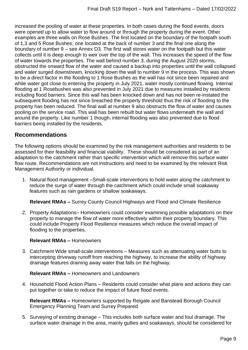increased the pooling of water at these properties. In both cases during the flood events, doors were opened up to allow water to flow around or through the property during the event. Other examples are three walls on Rose Bushes. The first located on the boundary of the footpath south of 1,3 and 5 Rose Bushes, one located at the back of number 3 and the final one along the boundary of number 9 – see Annex D3. The first wall stores water on the footpath but this water collects until it is deep enough to weir over the top of the wall. This increases the speed of the flow of water towards the properties. The wall behind number 3, during the August 2020 storms, obstructed the onward flow of the water and caused a backup into properties until the wall collapsed and water surged downstream, knocking down the wall to number 9 in the process. This was shown to be a direct factor in the flooding to 1 Rose Bushes as the wall has not since been repaired and while water got close to entering the property in July 2021, water mostly continued flowing. Internal flooding at 1 Rosebushes was also prevented in July 2021 due to measures installed by residents including flood barriers. Since this wall has been knocked down and has not been re-instated the subsequent flooding has not since breached the property threshold thus the risk of flooding to the property has been reduced. The final wall at number 9 also obstructs the flow of water and causes pooling on the service road. This wall has been rebuilt but water flows underneath the wall and around the property. Like number 1 though, internal flooding was also prevented due to flood barriers being installed by the residents.

## <span id="page-8-0"></span>**Recommendations**

The following options should be examined by the risk management authorities and residents to be assessed for their feasibility and financial viability. These should be considered as part of an adaptation to the catchment rather than specific intervention which will remove this surface water flow route. Recommendations are not instructions and need to be examined by the relevant Risk Management Authority or individual.

1. Natural flood management –Small-scale interventions to hold water along the catchment to reduce the surge of water through the catchment which could include small soakaway features such as rain gardens or shallow soakaways.

**Relevant RMAs –** Surrey County Council Highways and Flood and Climate Resilience

2. Property Adaptations– Homeowners could consider examining possible adaptations on their property to manage the flow of water more effectively within their property boundary. This could include Property Flood Resilience measures which reduce the overall impact of flooding to the properties.

#### **Relevant RMAs –** Homeowners

3. Catchment Wide small-scale interventions – Measures such as attenuating water butts to intercepting driveway runoff from reaching the highway, to increase the ability of highway drainage features draining away water that falls on the highway.

#### **Relevant RMAs –** Homeowners and Landowners

4. Household Flood Action Plans – Residents could consider what plans and actions they can put together or take to reduce the impact of future flood events.

**Relevant RMAs –** Homeowners supported by Reigate and Banstead Borough Council Emergency Planning Team and Surrey Prepared.

5. Surveying of existing drainage – This includes both surface water and foul drainage. The surface water drainage in the area, mainly gullies and soakaways, should be considered for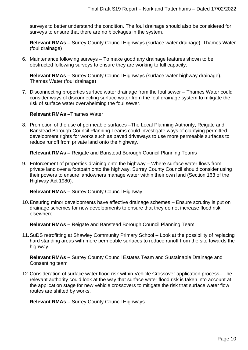surveys to better understand the condition. The foul drainage should also be considered for surveys to ensure that there are no blockages in the system.

**Relevant RMAs –** Surrey County Council Highways (surface water drainage), Thames Water (foul drainage)

6. Maintenance following surveys – To make good any drainage features shown to be obstructed following surveys to ensure they are working to full capacity.

**Relevant RMAs –** Surrey County Council Highways (surface water highway drainage), Thames Water (foul drainage)

7. Disconnecting properties surface water drainage from the foul sewer – Thames Water could consider ways of disconnecting surface water from the foul drainage system to mitigate the risk of surface water overwhelming the foul sewer.

**Relevant RMAs –**Thames Water

8. Promotion of the use of permeable surfaces –The Local Planning Authority, Reigate and Banstead Borough Council Planning Teams could investigate ways of clarifying permitted development rights for works such as paved driveways to use more permeable surfaces to reduce runoff from private land onto the highway.

**Relevant RMAs –** Reigate and Banstead Borough Council Planning Teams

9. Enforcement of properties draining onto the highway – Where surface water flows from private land over a footpath onto the highway, Surrey County Council should consider using their powers to ensure landowners manage water within their own land (Section 163 of the Highway Act 1980).

**Relevant RMAs –** Surrey County Council Highway

10.Ensuring minor developments have effective drainage schemes – Ensure scrutiny is put on drainage schemes for new developments to ensure that they do not increase flood risk elsewhere.

**Relevant RMAs –** Reigate and Banstead Borough Council Planning Team

11.SuDS retrofitting at Shawley Community Primary School – Look at the possibility of replacing hard standing areas with more permeable surfaces to reduce runoff from the site towards the highway.

**Relevant RMAs –** Surrey County Council Estates Team and Sustainable Drainage and Consenting team

12.Consideration of surface water flood risk within Vehicle Crossover application process– The relevant authority could look at the way that surface water flood risk is taken into account at the application stage for new vehicle crossovers to mitigate the risk that surface water flow routes are shifted by works.

**Relevant RMAs –** Surrey County Council Highways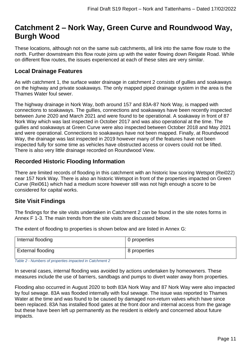# <span id="page-10-0"></span>**Catchment 2 – Nork Way, Green Curve and Roundwood Way, Burgh Wood**

These locations, although not on the same sub catchments, all link into the same flow route to the north. Further downstream this flow route joins up with the water flowing down Reigate Road. While on different flow routes, the issues experienced at each of these sites are very similar.

# <span id="page-10-1"></span>**Local Drainage Features**

As with catchment 1, the surface water drainage in catchment 2 consists of gullies and soakaways on the highway and private soakaways. The only mapped piped drainage system in the area is the Thames Water foul sewer.

The highway drainage in Nork Way, both around 157 and 83A-87 Nork Way, is mapped with connections to soakaways. The gullies, connections and soakaways have been recently inspected between June 2020 and March 2021 and were found to be operational. A soakaway in front of 87 Nork Way which was last inspected in October 2017 and was also operational at the time. The gullies and soakaways at Green Curve were also inspected between October 2018 and May 2021 and were operational. Connections to soakaways have not been mapped. Finally, at Roundwood Way, the drainage was last inspected in 2019 however many of the features have not been inspected fully for some time as vehicles have obstructed access or covers could not be lifted. There is also very little drainage recorded on Roundwood View.

# <span id="page-10-2"></span>**Recorded Historic Flooding Information**

There are limited records of flooding in this catchment with an historic low scoring Wetspot (Rei022) near 157 Nork Way. There is also an historic Wetspot in front of the properties impacted on Green Curve (Rei061) which had a medium score however still was not high enough a score to be considered for capital works.

# <span id="page-10-3"></span>**Site Visit Findings**

The findings for the site visits undertaken in Catchment 2 can be found in the site notes forms in Annex F 1-3. The main trends from the site visits are discussed below.

The extent of flooding to properties is shown below and are listed in Annex G:

| Internal flooding        | 0 properties |
|--------------------------|--------------|
| <b>External flooding</b> | 8 properties |

*Table 2 - Numbers of properties impacted in Catchment 2*

In several cases, internal flooding was avoided by actions undertaken by homeowners. These measures include the use of barriers, sandbags and pumps to divert water away from properties.

Flooding also occurred in August 2020 to both 83A Nork Way and 87 Nork Way were also impacted by foul sewage. 83A was flooded internally with foul sewage. The issue was reported to Thames Water at the time and was found to be caused by damaged non-return valves which have since been replaced. 83A has installed flood gates at the front door and internal access from the garage but these have been left up permanently as the resident is elderly and concerned about future impacts.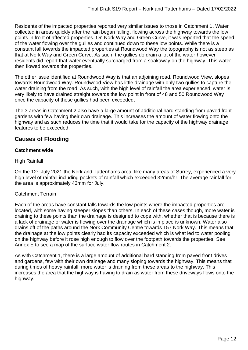Residents of the impacted properties reported very similar issues to those in Catchment 1. Water collected in areas quickly after the rain began falling, flowing across the highway towards the low points in front of affected properties. On Nork Way and Green Curve, it was reported that the speed of the water flowing over the gullies and continued down to these low points. While there is a constant fall towards the impacted properties at Roundwood Way the topography is not as steep as that at Nork Way and Green Curve. As such, the gullies do drain a lot of the water however residents did report that water eventually surcharged from a soakaway on the highway. This water then flowed towards the properties.

The other issue identified at Roundwood Way is that an adjoining road, Roundwood View, slopes towards Roundwood Way. Roundwood View has little drainage with only two gullies to capture the water draining from the road. As such, with the high level of rainfall the area experienced, water is very likely to have drained straight towards the low point in front of 48 and 50 Roundwood Way once the capacity of these gullies had been exceeded.

The 3 areas in Catchment 2 also have a large amount of additional hard standing from paved front gardens with few having their own drainage. This increases the amount of water flowing onto the highway and as such reduces the time that it would take for the capacity of the highway drainage features to be exceeded.

# <span id="page-11-0"></span>**Causes of Flooding**

### **Catchment wide**

High Rainfall

On the 12<sup>th</sup> July 2021 the Nork and Tattenhams area, like many areas of Surrey, experienced a very high level of rainfall including pockets of rainfall which exceeded 32mm/hr. The average rainfall for the area is approximately 43mm for July.

#### Catchment Terrain

Each of the areas have constant falls towards the low points where the impacted properties are located, with some having steeper slopes than others. In each of these cases though, more water is draining to these points than the drainage is designed to cope with, whether that is because there is a lack of drainage or water is flowing over the drainage which is in place is unknown. Water also drains off of the paths around the Nork Community Centre towards 157 Nork Way. This means that the drainage at the low points clearly had its capacity exceeded which is what led to water pooling on the highway before it rose high enough to flow over the footpath towards the properties. See Annex E to see a map of the surface water flow routes in Catchment 2.

As with Catchment 1, there is a large amount of additional hard standing from paved front drives and gardens, few with their own drainage and many sloping towards the highway. This means that during times of heavy rainfall, more water is draining from these areas to the highway. This increases the area that the highway is having to drain as water from these driveways flows onto the highway.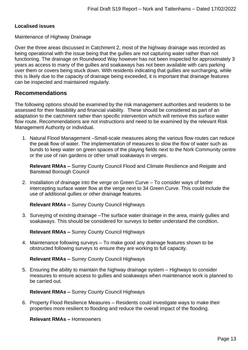#### **Localised issues**

Maintenance of Highway Drainage

Over the three areas discussed in Catchment 2, most of the highway drainage was recorded as being operational with the issue being that the gullies are not capturing water rather than not functioning. The drainage on Roundwood Way however has not been inspected for approximately 3 years as access to many of the gullies and soakaways has not been available with cars parking over them or covers being stuck down. With residents indicating that gullies are surcharging, while this is likely due to the capacity of drainage being exceeded, it is important that drainage features can be inspected and maintained regularly.

## <span id="page-12-0"></span>**Recommendations**

The following options should be examined by the risk management authorities and residents to be assessed for their feasibility and financial viability. These should be considered as part of an adaptation to the catchment rather than specific intervention which will remove this surface water flow route. Recommendations are not instructions and need to be examined by the relevant Risk Management Authority or individual.

1. Natural Flood Management –Small-scale measures along the various flow routes can reduce the peak flow of water. The implementation of measures to slow the flow of water such as bunds to keep water on green spaces of the playing fields next to the Nork Community centre or the use of rain gardens or other small soakaways in verges.

**Relevant RMAs –** Surrey County Council Flood and Climate Resilience and Reigate and Banstead Borough Council

2. Installation of drainage into the verge on Green Curve – To consider ways of better intercepting surface water flow at the verge next to 34 Green Curve. This could include the use of additional gullies or other drainage features.

**Relevant RMAs –** Surrey County Council Highways

3. Surveying of existing drainage –The surface water drainage in the area, mainly gullies and soakaways. This should be considered for surveys to better understand the condition.

**Relevant RMAs –** Surrey County Council Highways

4. Maintenance following surveys – To make good any drainage features shown to be obstructed following surveys to ensure they are working to full capacity.

**Relevant RMAs –** Surrey County Council Highways

5. Ensuring the ability to maintain the highway drainage system – Highways to consider measures to ensure access to gullies and soakaways when maintenance work is planned to be carried out.

**Relevant RMAs –** Surrey County Council Highways

6. Property Flood Resilience Measures – Residents could investigate ways to make their properties more resilient to flooding and reduce the overall impact of the flooding.

**Relevant RMAs –** Homeowners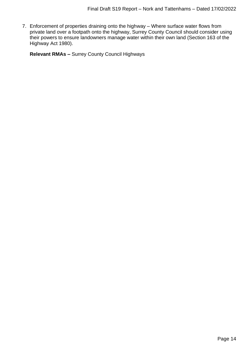7. Enforcement of properties draining onto the highway – Where surface water flows from private land over a footpath onto the highway, Surrey County Council should consider using their powers to ensure landowners manage water within their own land (Section 163 of the Highway Act 1980).

**Relevant RMAs –** Surrey County Council Highways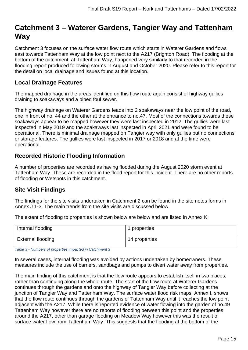# <span id="page-14-0"></span>**Catchment 3 – Waterer Gardens, Tangier Way and Tattenham Way**

Catchment 3 focuses on the surface water flow route which starts in Waterer Gardens and flows east towards Tattenham Way at the low point next to the A217 (Brighton Road). The flooding at the bottom of the catchment, at Tattenham Way, happened very similarly to that recorded in the flooding report produced following storms in August and October 2020. Please refer to this report for the detail on local drainage and issues found at this location.

# <span id="page-14-1"></span>**Local Drainage Features**

The mapped drainage in the areas identified on this flow route again consist of highway gullies draining to soakaways and a piped foul sewer.

The highway drainage on Waterer Gardens leads into 2 soakaways near the low point of the road, one in front of no. 44 and the other at the entrance to no.47. Most of the connections towards these soakaways appear to be mapped however they were last inspected in 2012. The gullies were last inspected in May 2019 and the soakaways last inspected in April 2021 and were found to be operational. There is minimal drainage mapped on Tangier way with only gullies but no connections or storage features. The gullies were last inspected in 2017 or 2018 and at the time were operational.

## <span id="page-14-2"></span>**Recorded Historic Flooding Information**

A number of properties are recorded as having flooded during the August 2020 storm event at Tattenham Way. These are recorded in the flood report for this incident. There are no other reports of flooding or Wetspots in this catchment.

# <span id="page-14-3"></span>**Site Visit Findings**

The findings for the site visits undertaken in Catchment 2 can be found in the site notes forms in Annex J 1-3. The main trends from the site visits are discussed below.

The extent of flooding to properties is shown below are below and are listed in Annex K:

| Internal flooding | 1 properties  |
|-------------------|---------------|
| External flooding | 14 properties |

*Table 3 - Numbers of properties impacted in Catchment 3*

In several cases, internal flooding was avoided by actions undertaken by homeowners. These measures include the use of barriers, sandbags and pumps to divert water away from properties.

The main finding of this catchment is that the flow route appears to establish itself in two places, rather than continuing along the whole route. The start of the flow route at Waterer Gardens continues through the gardens and onto the highway of Tangier Way before collecting at the junction of Tangier Way and Tattenham Way. The surface water flood risk maps, Annex I, shows that the flow route continues through the gardens of Tattenham Way until it reaches the low point adjacent with the A217. While there is reported evidence of water flowing into the garden of no.49 Tattenham Way however there are no reports of flooding between this point and the properties around the A217, other than garage flooding on Meadow Way however this was the result of surface water flow from Tattenham Way. This suggests that the flooding at the bottom of the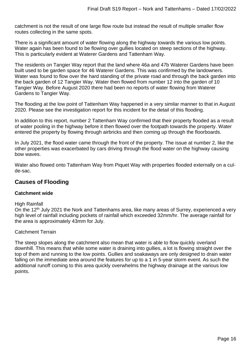catchment is not the result of one large flow route but instead the result of multiple smaller flow routes collecting in the same spots.

There is a significant amount of water flowing along the highway towards the various low points. Water again has been found to be flowing over gullies located on steep sections of the highway. This is particularly evident at Waterer Gardens and Tattenham Way.

The residents on Tangier Way report that the land where 46a and 47b Waterer Gardens have been built used to be garden space for 46 Waterer Gardens. This was confirmed by the landowners. Water was found to flow over the hard standing of the private road and through the back garden into the back garden of 12 Tangier Way. Water then flowed from number 12 into the garden of 10 Tangier Way. Before August 2020 there had been no reports of water flowing from Waterer Gardens to Tangier Way.

The flooding at the low point of Tattenham Way happened in a very similar manner to that in August 2020. Please see the investigation report for this incident for the detail of this flooding.

In addition to this report, number 2 Tattenham Way confirmed that their property flooded as a result of water pooling in the highway before it then flowed over the footpath towards the property. Water entered the property by flowing through airbricks and then coming up through the floorboards.

In July 2021, the flood water came through the front of the property. The issue at number 2, like the other properties was exacerbated by cars driving through the flood water on the highway causing bow waves.

Water also flowed onto Tattenham Way from Piquet Way with properties flooded externally on a culde-sac.

# <span id="page-15-0"></span>**Causes of Flooding**

#### **Catchment wide**

#### High Rainfall

On the 12<sup>th</sup> July 2021 the Nork and Tattenhams area, like many areas of Surrey, experienced a very high level of rainfall including pockets of rainfall which exceeded 32mm/hr. The average rainfall for the area is approximately 43mm for July.

#### Catchment Terrain

The steep slopes along the catchment also mean that water is able to flow quickly overland downhill. This means that while some water is draining into gullies, a lot is flowing straight over the top of them and running to the low points. Gullies and soakaways are only designed to drain water falling on the immediate area around the features for up to a 1 in 5-year storm event. As such the additional runoff coming to this area quickly overwhelms the highway drainage at the various low points.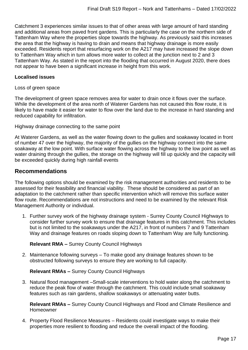Catchment 3 experiences similar issues to that of other areas with large amount of hard standing and additional areas from paved front gardens. This is particularly the case on the northern side of Tattenham Way where the properties slope towards the highway. As previously said this increases the area that the highway is having to drain and means that highway drainage is more easily exceeded. Residents report that resurfacing work on the A217 may have increased the slope down to Tattenham Way which in turn allows more water to collect at the junction next to 2 and 3 Tattenham Way. As stated in the report into the flooding that occurred in August 2020, there does not appear to have been a significant increase in height from this work.

#### **Localised issues**

Loss of green space

The development of green space removes area for water to drain once it flows over the surface. While the development of the area north of Waterer Gardens has not caused this flow route, it is likely to have made it easier for water to flow over the land due to the increase in hard standing and reduced capability for infiltration.

Highway drainage connecting to the same point

At Waterer Gardens, as well as the water flowing down to the gullies and soakaway located in front of number 47 over the highway, the majority of the gullies on the highway connect into the same soakaway at the low point. With surface water flowing across the highway to the low point as well as water draining through the gullies, the storage on the highway will fill up quickly and the capacity will be exceeded quickly during high rainfall events

### <span id="page-16-0"></span>**Recommendations**

The following options should be examined by the risk management authorities and residents to be assessed for their feasibility and financial viability. These should be considered as part of an adaptation to the catchment rather than specific intervention which will remove this surface water flow route. Recommendations are not instructions and need to be examined by the relevant Risk Management Authority or individual.

1. Further survey work of the highway drainage system - Surrey County Council Highways to consider further survey work to ensure that drainage features in this catchment. This includes but is not limited to the soakaways under the A217, in front of numbers 7 and 9 Tattenham Way and drainage features on roads sloping down to Tattenham Way are fully functioning.

#### **Relevant RMA –** Surrey County Council Highways

2. Maintenance following surveys – To make good any drainage features shown to be obstructed following surveys to ensure they are working to full capacity.

**Relevant RMAs –** Surrey County Council Highways

3. Natural flood management –Small-scale interventions to hold water along the catchment to reduce the peak flow of water through the catchment. This could include small soakaway features such as rain gardens, shallow soakaways or attenuating water butts.

**Relevant RMAs –** Surrey County Council Highways and Flood and Climate Resilience and Homeowner

4. Property Flood Resilience Measures – Residents could investigate ways to make their properties more resilient to flooding and reduce the overall impact of the flooding.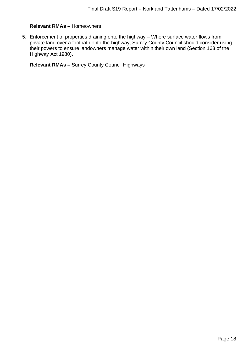#### **Relevant RMAs –** Homeowners

5. Enforcement of properties draining onto the highway – Where surface water flows from private land over a footpath onto the highway, Surrey County Council should consider using their powers to ensure landowners manage water within their own land (Section 163 of the Highway Act 1980).

**Relevant RMAs –** Surrey County Council Highways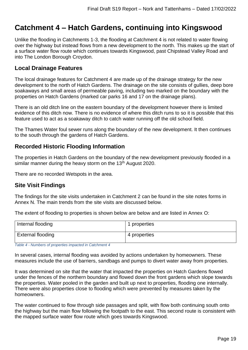# <span id="page-18-0"></span>**Catchment 4 – Hatch Gardens, continuing into Kingswood**

Unlike the flooding in Catchments 1-3, the flooding at Catchment 4 is not related to water flowing over the highway but instead flows from a new development to the north. This makes up the start of a surface water flow route which continues towards Kingswood, past Chipstead Valley Road and into The London Borough Croydon.

## <span id="page-18-1"></span>**Local Drainage Features**

The local drainage features for Catchment 4 are made up of the drainage strategy for the new development to the north of Hatch Gardens. The drainage on the site consists of gullies, deep bore soakaways and small areas of permeable paving, including two marked on the boundary with the properties on Hatch Gardens (marked car parks 16 and 17 on the drainage plans).

There is an old ditch line on the eastern boundary of the development however there is limited evidence of this ditch now. There is no evidence of where this ditch runs to so it is possible that this feature used to act as a soakaway ditch to catch water running off the old school field.

The Thames Water foul sewer runs along the boundary of the new development. It then continues to the south through the gardens of Hatch Gardens.

# <span id="page-18-2"></span>**Recorded Historic Flooding Information**

The properties in Hatch Gardens on the boundary of the new development previously flooded in a similar manner during the heavy storm on the 13<sup>th</sup> August 2020.

There are no recorded Wetspots in the area.

### <span id="page-18-3"></span>**Site Visit Findings**

The findings for the site visits undertaken in Catchment 2 can be found in the site notes forms in Annex N. The main trends from the site visits are discussed below.

The extent of flooding to properties is shown below are below and are listed in Annex O:

| Internal flooding | 1 properties |
|-------------------|--------------|
| External flooding | 4 properties |

*Table 4 - Numbers of properties impacted in Catchment 4*

In several cases, internal flooding was avoided by actions undertaken by homeowners. These measures include the use of barriers, sandbags and pumps to divert water away from properties.

It was determined on site that the water that impacted the properties on Hatch Gardens flowed under the fences of the northern boundary and flowed down the front gardens which slope towards the properties. Water pooled in the garden and built up next to properties, flooding one internally. There were also properties close to flooding which were prevented by measures taken by the homeowners.

The water continued to flow through side passages and split, with flow both continuing south onto the highway but the main flow following the footpath to the east. This second route is consistent with the mapped surface water flow route which goes towards Kingswood.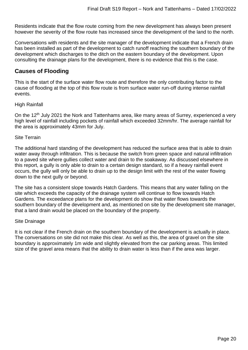Residents indicate that the flow route coming from the new development has always been present however the severity of the flow route has increased since the development of the land to the north.

Conversations with residents and the site manager of the development indicate that a French drain has been installed as part of the development to catch runoff reaching the southern boundary of the development which discharges to the ditch on the eastern boundary of the development. Upon consulting the drainage plans for the development, there is no evidence that this is the case.

## <span id="page-19-0"></span>**Causes of Flooding**

This is the start of the surface water flow route and therefore the only contributing factor to the cause of flooding at the top of this flow route is from surface water run-off during intense rainfall events.

#### High Rainfall

On the 12<sup>th</sup> July 2021 the Nork and Tattenhams area, like many areas of Surrey, experienced a very high level of rainfall including pockets of rainfall which exceeded 32mm/hr. The average rainfall for the area is approximately 43mm for July.

#### Site Terrain

The additional hard standing of the development has reduced the surface area that is able to drain water away through infiltration. This is because the switch from green space and natural infiltration to a paved site where gullies collect water and drain to the soakaway. As discussed elsewhere in this report, a gully is only able to drain to a certain design standard, so if a heavy rainfall event occurs, the gully will only be able to drain up to the design limit with the rest of the water flowing down to the next gully or beyond.

The site has a consistent slope towards Hatch Gardens. This means that any water falling on the site which exceeds the capacity of the drainage system will continue to flow towards Hatch Gardens. The exceedance plans for the development do show that water flows towards the southern boundary of the development and, as mentioned on site by the development site manager, that a land drain would be placed on the boundary of the property.

#### Site Drainage

It is not clear if the French drain on the southern boundary of the development is actually in place. The conversations on site did not make this clear. As well as this, the area of gravel on the site boundary is approximately 1m wide and slightly elevated from the car parking areas. This limited size of the gravel area means that the ability to drain water is less than if the area was larger.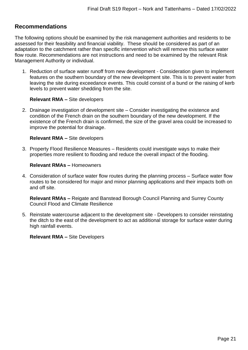# <span id="page-20-0"></span>**Recommendations**

The following options should be examined by the risk management authorities and residents to be assessed for their feasibility and financial viability. These should be considered as part of an adaptation to the catchment rather than specific intervention which will remove this surface water flow route. Recommendations are not instructions and need to be examined by the relevant Risk Management Authority or individual.

1. Reduction of surface water runoff from new development - Consideration given to implement features on the southern boundary of the new development site. This is to prevent water from leaving the site during exceedance events. This could consist of a bund or the raising of kerb levels to prevent water shedding from the site.

#### **Relevant RMA –** Site developers

2. Drainage investigation of development site – Consider investigating the existence and condition of the French drain on the southern boundary of the new development. If the existence of the French drain is confirmed, the size of the gravel area could be increased to improve the potential for drainage.

#### **Relevant RMA –** Site developers

3. Property Flood Resilience Measures – Residents could investigate ways to make their properties more resilient to flooding and reduce the overall impact of the flooding.

#### **Relevant RMAs –** Homeowners

4. Consideration of surface water flow routes during the planning process – Surface water flow routes to be considered for major and minor planning applications and their impacts both on and off site.

**Relevant RMAs –** Reigate and Banstead Borough Council Planning and Surrey County Council Flood and Climate Resilience

5. Reinstate watercourse adjacent to the development site - Developers to consider reinstating the ditch to the east of the development to act as additional storage for surface water during high rainfall events.

**Relevant RMA –** Site Developers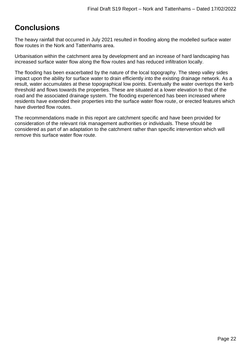# <span id="page-21-0"></span>**Conclusions**

The heavy rainfall that occurred in July 2021 resulted in flooding along the modelled surface water flow routes in the Nork and Tattenhams area.

Urbanisation within the catchment area by development and an increase of hard landscaping has increased surface water flow along the flow routes and has reduced infiltration locally.

The flooding has been exacerbated by the nature of the local topography. The steep valley sides impact upon the ability for surface water to drain efficiently into the existing drainage network. As a result, water accumulates at these topographical low points. Eventually the water overtops the kerb threshold and flows towards the properties. These are situated at a lower elevation to that of the road and the associated drainage system. The flooding experienced has been increased where residents have extended their properties into the surface water flow route, or erected features which have diverted flow routes.

The recommendations made in this report are catchment specific and have been provided for consideration of the relevant risk management authorities or individuals. These should be considered as part of an adaptation to the catchment rather than specific intervention which will remove this surface water flow route.